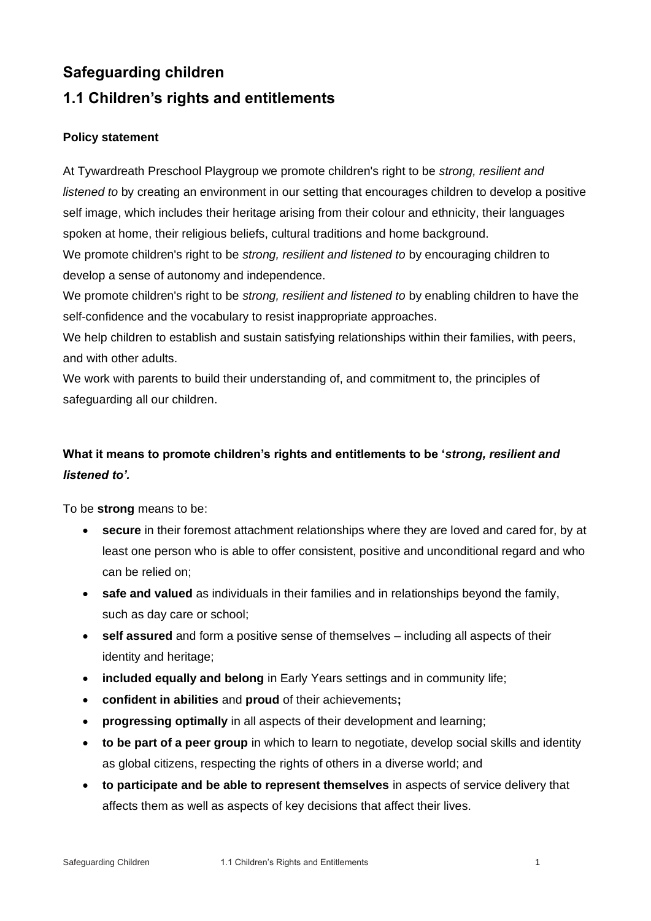## **Safeguarding children**

## **1.1 Children's rights and entitlements**

## **Policy statement**

At Tywardreath Preschool Playgroup we promote children's right to be *strong, resilient and listened to* by creating an environment in our setting that encourages children to develop a positive self image, which includes their heritage arising from their colour and ethnicity, their languages spoken at home, their religious beliefs, cultural traditions and home background. We promote children's right to be *strong, resilient and listened to* by encouraging children to

develop a sense of autonomy and independence.

We promote children's right to be *strong, resilient and listened to* by enabling children to have the self-confidence and the vocabulary to resist inappropriate approaches.

We help children to establish and sustain satisfying relationships within their families, with peers, and with other adults.

We work with parents to build their understanding of, and commitment to, the principles of safeguarding all our children.

## **What it means to promote children's rights and entitlements to be '***strong, resilient and listened to'.*

To be **strong** means to be:

- **secure** in their foremost attachment relationships where they are loved and cared for, by at least one person who is able to offer consistent, positive and unconditional regard and who can be relied on;
- **safe and valued** as individuals in their families and in relationships beyond the family, such as day care or school;
- **self assured** and form a positive sense of themselves including all aspects of their identity and heritage;
- **included equally and belong** in Early Years settings and in community life;
- **confident in abilities** and **proud** of their achievements**;**
- **progressing optimally** in all aspects of their development and learning;
- **to be part of a peer group** in which to learn to negotiate, develop social skills and identity as global citizens, respecting the rights of others in a diverse world; and
- **to participate and be able to represent themselves** in aspects of service delivery that affects them as well as aspects of key decisions that affect their lives.